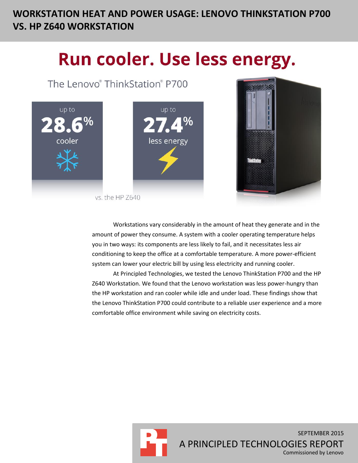# **WORKSTATION HEAT AND POWER USAGE: LENOVO THINKSTATION P700 VS. HP Z640 WORKSTATION**

# Run cooler. Use less energy.

The Lenovo® ThinkStation® P700





Workstations vary considerably in the amount of heat they generate and in the amount of power they consume. A system with a cooler operating temperature helps you in two ways: its components are less likely to fail, and it necessitates less air conditioning to keep the office at a comfortable temperature. A more power-efficient system can lower your electric bill by using less electricity and running cooler.

At Principled Technologies, we tested the Lenovo ThinkStation P700 and the HP Z640 Workstation. We found that the Lenovo workstation was less power-hungry than the HP workstation and ran cooler while idle and under load. These findings show that the Lenovo ThinkStation P700 could contribute to a reliable user experience and a more comfortable office environment while saving on electricity costs.

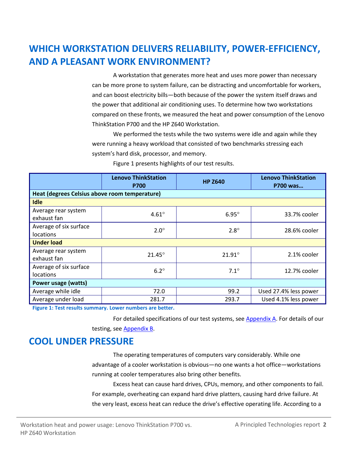# **WHICH WORKSTATION DELIVERS RELIABILITY, POWER-EFFICIENCY, AND A PLEASANT WORK ENVIRONMENT?**

A workstation that generates more heat and uses more power than necessary can be more prone to system failure, can be distracting and uncomfortable for workers, and can boost electricity bills—both because of the power the system itself draws and the power that additional air conditioning uses. To determine how two workstations compared on these fronts, we measured the heat and power consumption of the Lenovo ThinkStation P700 and the HP Z640 Workstation.

We performed the tests while the two systems were idle and again while they were running a heavy workload that consisted of two benchmarks stressing each system's hard disk, processor, and memory.

|                                               | <b>Lenovo ThinkStation</b><br><b>P700</b> | <b>HP Z640</b>  | <b>Lenovo ThinkStation</b><br>P700 was |  |  |
|-----------------------------------------------|-------------------------------------------|-----------------|----------------------------------------|--|--|
| Heat (degrees Celsius above room temperature) |                                           |                 |                                        |  |  |
| <b>Idle</b>                                   |                                           |                 |                                        |  |  |
| Average rear system<br>exhaust fan            | $4.61^\circ$                              | $6.95^\circ$    | 33.7% cooler                           |  |  |
| Average of six surface                        | $2.0^\circ$                               | $2.8^\circ$     | 28.6% cooler                           |  |  |
| <b>locations</b><br><b>Under load</b>         |                                           |                 |                                        |  |  |
| Average rear system<br>exhaust fan            | $21.45^\circ$                             | $21.91^{\circ}$ | 2.1% cooler                            |  |  |
| Average of six surface<br><b>locations</b>    | $6.2^\circ$                               | $7.1^\circ$     | 12.7% cooler                           |  |  |
| Power usage (watts)                           |                                           |                 |                                        |  |  |
| Average while idle                            | 72.0                                      | 99.2            | Used 27.4% less power                  |  |  |
| Average under load                            | 281.7                                     | 293.7           | Used 4.1% less power                   |  |  |

Figure 1 presents highlights of our test results.

**Figure 1: Test results summary. Lower numbers are better.**

For detailed specifications of our test systems, see [Appendix A.](#page-4-0) For details of our testing, see [Appendix B.](#page-7-0)

### **COOL UNDER PRESSURE**

The operating temperatures of computers vary considerably. While one advantage of a cooler workstation is obvious—no one wants a hot office—workstations running at cooler temperatures also bring other benefits.

Excess heat can cause hard drives, CPUs, memory, and other components to fail. For example, overheating can expand hard drive platters, causing hard drive failure. At the very least, excess heat can reduce the drive's effective operating life. According to a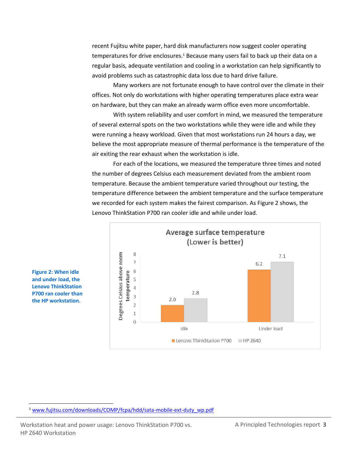recent Fujitsu white paper, hard disk manufacturers now suggest cooler operating temperatures for drive enclosures.<sup>1</sup> Because many users fail to back up their data on a regular basis, adequate ventilation and cooling in a workstation can help significantly to avoid problems such as catastrophic data loss due to hard drive failure.

Many workers are not fortunate enough to have control over the climate in their offices. Not only do workstations with higher operating temperatures place extra wear on hardware, but they can make an already warm office even more uncomfortable.

With system reliability and user comfort in mind, we measured the temperature of several external spots on the two workstations while they were idle and while they were running a heavy workload. Given that most workstations run 24 hours a day, we believe the most appropriate measure of thermal performance is the temperature of the air exiting the rear exhaust when the workstation is idle.

For each of the locations, we measured the temperature three times and noted the number of degrees Celsius each measurement deviated from the ambient room temperature. Because the ambient temperature varied throughout our testing, the temperature difference between the ambient temperature and the surface temperature we recorded for each system makes the fairest comparison. As Figure 2 shows, the Lenovo ThinkStation P700 ran cooler idle and while under load.



**Figure 2: When idle and under load, the Lenovo ThinkStation P700 ran cooler than the HP workstation.**

 $\overline{a}$ 

<sup>1</sup> [www.fujitsu.com/downloads/COMP/fcpa/hdd/sata-mobile-ext-duty\\_wp.pdf](http://www.fujitsu.com/downloads/COMP/fcpa/hdd/sata-mobile-ext-duty_wp.pdf)

Workstation heat and power usage: Lenovo ThinkStation P700 vs. A Principled Technologies report 3 HP Z640 Workstation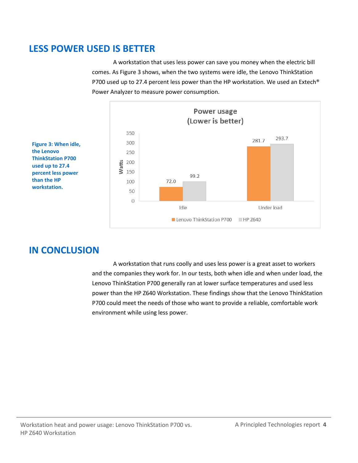### **LESS POWER USED IS BETTER**

A workstation that uses less power can save you money when the electric bill comes. As Figure 3 shows, when the two systems were idle, the Lenovo ThinkStation P700 used up to 27.4 percent less power than the HP workstation. We used an Extech® Power Analyzer to measure power consumption.



**Figure 3: When idle, the Lenovo ThinkStation P700 used up to 27.4 percent less power than the HP workstation.**

### **IN CONCLUSION**

A workstation that runs coolly and uses less power is a great asset to workers and the companies they work for. In our tests, both when idle and when under load, the Lenovo ThinkStation P700 generally ran at lower surface temperatures and used less power than the HP Z640 Workstation. These findings show that the Lenovo ThinkStation P700 could meet the needs of those who want to provide a reliable, comfortable work environment while using less power.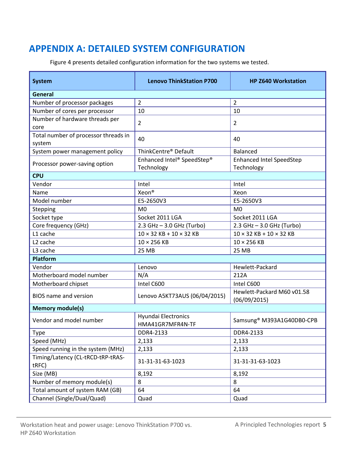### <span id="page-4-0"></span>**APPENDIX A: DETAILED SYSTEM CONFIGURATION**

Figure 4 presents detailed configuration information for the two systems we tested.

| <b>System</b>                                  | <b>Lenovo ThinkStation P700</b>          | <b>HP Z640 Workstation</b>                    |  |  |  |
|------------------------------------------------|------------------------------------------|-----------------------------------------------|--|--|--|
| General                                        |                                          |                                               |  |  |  |
| Number of processor packages                   | $\overline{2}$                           | $\overline{2}$                                |  |  |  |
| Number of cores per processor                  | 10                                       | 10                                            |  |  |  |
| Number of hardware threads per<br>core         | $\overline{2}$                           | 2                                             |  |  |  |
| Total number of processor threads in<br>system | 40                                       | 40                                            |  |  |  |
| System power management policy                 | ThinkCentre® Default                     | <b>Balanced</b>                               |  |  |  |
| Processor power-saving option                  | Enhanced Intel® SpeedStep®<br>Technology | <b>Enhanced Intel SpeedStep</b><br>Technology |  |  |  |
| <b>CPU</b>                                     |                                          |                                               |  |  |  |
| Vendor                                         | Intel                                    | Intel                                         |  |  |  |
| Name                                           | Xeon <sup>®</sup>                        | Xeon                                          |  |  |  |
| Model number                                   | E5-2650V3                                | E5-2650V3                                     |  |  |  |
| Stepping                                       | M <sub>0</sub>                           | M <sub>0</sub>                                |  |  |  |
| Socket type                                    | Socket 2011 LGA                          | Socket 2011 LGA                               |  |  |  |
| Core frequency (GHz)                           | 2.3 GHz - 3.0 GHz (Turbo)                | 2.3 GHz - 3.0 GHz (Turbo)                     |  |  |  |
| L1 cache                                       | $10 \times 32$ KB + $10 \times 32$ KB    | $10 \times 32$ KB + $10 \times 32$ KB         |  |  |  |
| L <sub>2</sub> cache                           | $10 \times 256$ KB                       | $10 \times 256$ KB                            |  |  |  |
| L3 cache                                       | 25 MB                                    | 25 MB                                         |  |  |  |
| <b>Platform</b>                                |                                          |                                               |  |  |  |
| Vendor                                         | Lenovo                                   | Hewlett-Packard                               |  |  |  |
| Motherboard model number                       | N/A                                      | 212A                                          |  |  |  |
| Motherboard chipset                            | Intel C600                               | Intel C600                                    |  |  |  |
| <b>BIOS</b> name and version                   | Lenovo A5KT73AUS (06/04/2015)            | Hewlett-Packard M60 v01.58<br>(06/09/2015)    |  |  |  |
| <b>Memory module(s)</b>                        |                                          |                                               |  |  |  |
| Vendor and model number                        | Hyundai Electronics<br>HMA41GR7MFR4N-TF  | Samsung <sup>®</sup> M393A1G40DB0-CPB         |  |  |  |
| Type                                           | DDR4-2133                                | DDR4-2133                                     |  |  |  |
| Speed (MHz)                                    | 2,133                                    | 2,133                                         |  |  |  |
| Speed running in the system (MHz)              | 2,133                                    | 2,133                                         |  |  |  |
| Timing/Latency (CL-tRCD-tRP-tRAS-<br>tRFC)     | 31-31-31-63-1023                         | 31-31-31-63-1023                              |  |  |  |
| Size (MB)                                      | 8,192                                    | 8,192                                         |  |  |  |
| Number of memory module(s)                     | 8                                        | 8                                             |  |  |  |
| Total amount of system RAM (GB)                | 64                                       | 64                                            |  |  |  |
| Channel (Single/Dual/Quad)                     | Quad                                     | Quad                                          |  |  |  |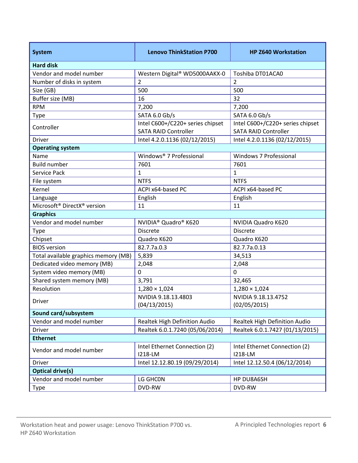| <b>System</b>                                       | <b>Lenovo ThinkStation P700</b>              | <b>HP Z640 Workstation</b>       |  |  |  |  |
|-----------------------------------------------------|----------------------------------------------|----------------------------------|--|--|--|--|
| <b>Hard disk</b>                                    |                                              |                                  |  |  |  |  |
| Vendor and model number                             | Western Digital® WD5000AAKX-0                | Toshiba DT01ACA0                 |  |  |  |  |
| Number of disks in system                           | $\overline{2}$                               | $\overline{2}$                   |  |  |  |  |
| Size (GB)                                           | 500                                          | 500                              |  |  |  |  |
| Buffer size (MB)                                    | 16                                           | 32                               |  |  |  |  |
| <b>RPM</b>                                          | 7,200                                        | 7,200                            |  |  |  |  |
| Type                                                | SATA 6.0 Gb/s                                | SATA 6.0 Gb/s                    |  |  |  |  |
| Controller                                          | Intel C600+/C220+ series chipset             | Intel C600+/C220+ series chipset |  |  |  |  |
|                                                     | <b>SATA RAID Controller</b>                  | <b>SATA RAID Controller</b>      |  |  |  |  |
| <b>Driver</b>                                       | Intel 4.2.0.1136 (02/12/2015)                | Intel 4.2.0.1136 (02/12/2015)    |  |  |  |  |
| <b>Operating system</b>                             |                                              |                                  |  |  |  |  |
| Name                                                | Windows® 7 Professional                      | Windows 7 Professional           |  |  |  |  |
| <b>Build number</b>                                 | 7601                                         | 7601                             |  |  |  |  |
| Service Pack                                        | 1                                            | 1                                |  |  |  |  |
| File system                                         | <b>NTFS</b>                                  | <b>NTFS</b>                      |  |  |  |  |
| Kernel                                              | ACPI x64-based PC                            | ACPI x64-based PC                |  |  |  |  |
| Language                                            | English                                      | English                          |  |  |  |  |
| Microsoft <sup>®</sup> DirectX <sup>®</sup> version | 11                                           | 11                               |  |  |  |  |
| <b>Graphics</b>                                     |                                              |                                  |  |  |  |  |
| Vendor and model number                             | NVIDIA <sup>®</sup> Quadro <sup>®</sup> K620 | NVIDIA Quadro K620               |  |  |  |  |
| Type                                                | <b>Discrete</b>                              | <b>Discrete</b>                  |  |  |  |  |
| Chipset                                             | Quadro K620                                  | Quadro K620                      |  |  |  |  |
| <b>BIOS</b> version                                 | 82.7.7a.0.3                                  | 82.7.7a.0.13                     |  |  |  |  |
| Total available graphics memory (MB)                | 5,839                                        | 34,513                           |  |  |  |  |
| Dedicated video memory (MB)                         | 2,048                                        | 2,048                            |  |  |  |  |
| System video memory (MB)                            | $\mathbf 0$                                  | $\mathbf 0$                      |  |  |  |  |
| Shared system memory (MB)                           | 3,791                                        | 32,465                           |  |  |  |  |
| Resolution                                          | $1,280 \times 1,024$                         | $1,280 \times 1,024$             |  |  |  |  |
| <b>Driver</b>                                       | NVIDIA 9.18.13.4803                          | NVIDIA 9.18.13.4752              |  |  |  |  |
|                                                     | (04/13/2015)                                 | (02/05/2015)                     |  |  |  |  |
| Sound card/subsystem                                |                                              |                                  |  |  |  |  |
| Vendor and model number                             | Realtek High Definition Audio                | Realtek High Definition Audio    |  |  |  |  |
| Driver                                              | Realtek 6.0.1.7240 (05/06/2014)              | Realtek 6.0.1.7427 (01/13/2015)  |  |  |  |  |
| <b>Ethernet</b>                                     |                                              |                                  |  |  |  |  |
| Vendor and model number                             | Intel Ethernet Connection (2)                | Intel Ethernet Connection (2)    |  |  |  |  |
|                                                     | 1218-LM                                      | 1218-LM                          |  |  |  |  |
| Driver                                              | Intel 12.12.80.19 (09/29/2014)               | Intel 12.12.50.4 (06/12/2014)    |  |  |  |  |
| <b>Optical drive(s)</b>                             |                                              |                                  |  |  |  |  |
| Vendor and model number                             | LG GHCON                                     | HP DU8A6SH                       |  |  |  |  |
| Type                                                | DVD-RW                                       | DVD-RW                           |  |  |  |  |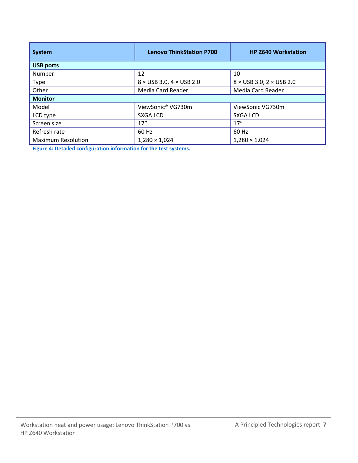| <b>System</b>             | <b>Lenovo ThinkStation P700</b>        | <b>HP Z640 Workstation</b>             |  |  |  |
|---------------------------|----------------------------------------|----------------------------------------|--|--|--|
| <b>USB ports</b>          |                                        |                                        |  |  |  |
| Number                    | 12                                     | 10                                     |  |  |  |
| Type                      | $8 \times$ USB 3.0, 4 $\times$ USB 2.0 | $8 \times$ USB 3.0, 2 $\times$ USB 2.0 |  |  |  |
| Other                     | Media Card Reader                      | Media Card Reader                      |  |  |  |
| <b>Monitor</b>            |                                        |                                        |  |  |  |
| Model                     | ViewSonic® VG730m                      | ViewSonic VG730m                       |  |  |  |
| LCD type                  | SXGA LCD                               | SXGA LCD                               |  |  |  |
| Screen size               | 17''                                   | 17''                                   |  |  |  |
| Refresh rate              | 60 Hz                                  | 60 Hz                                  |  |  |  |
| <b>Maximum Resolution</b> | $1,280 \times 1,024$                   | $1,280 \times 1,024$                   |  |  |  |

**Figure 4: Detailed configuration information for the test systems.**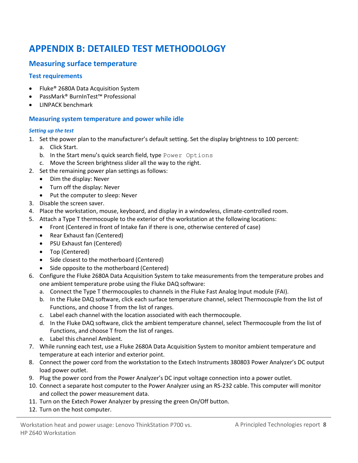# <span id="page-7-0"></span>**APPENDIX B: DETAILED TEST METHODOLOGY**

#### **Measuring surface temperature**

#### **Test requirements**

- Fluke<sup>®</sup> 2680A Data Acquisition System
- PassMark® BurnInTest™ Professional
- LINPACK benchmark

#### **Measuring system temperature and power while idle**

#### *Setting up the test*

- 1. Set the power plan to the manufacturer's default setting. Set the display brightness to 100 percent:
	- a. Click Start.
	- b. In the Start menu's quick search field, type Power Options
	- c. Move the Screen brightness slider all the way to the right.
- 2. Set the remaining power plan settings as follows:
	- Dim the display: Never
	- Turn off the display: Never
	- Put the computer to sleep: Never
- 3. Disable the screen saver.
- 4. Place the workstation, mouse, keyboard, and display in a windowless, climate-controlled room.
- 5. Attach a Type T thermocouple to the exterior of the workstation at the following locations:
	- Front (Centered in front of Intake fan if there is one, otherwise centered of case)
	- Rear Exhaust fan (Centered)
	- PSU Exhaust fan (Centered)
	- Top (Centered)
	- Side closest to the motherboard (Centered)
	- Side opposite to the motherboard (Centered)
- 6. Configure the Fluke 2680A Data Acquisition System to take measurements from the temperature probes and one ambient temperature probe using the Fluke DAQ software:
	- a. Connect the Type T thermocouples to channels in the Fluke Fast Analog Input module (FAI).
	- b. In the Fluke DAQ software, click each surface temperature channel, select Thermocouple from the list of Functions, and choose T from the list of ranges.
	- c. Label each channel with the location associated with each thermocouple.
	- d. In the Fluke DAQ software, click the ambient temperature channel, select Thermocouple from the list of Functions, and choose T from the list of ranges.
	- e. Label this channel Ambient.
- 7. While running each test, use a Fluke 2680A Data Acquisition System to monitor ambient temperature and temperature at each interior and exterior point.
- 8. Connect the power cord from the workstation to the Extech Instruments 380803 Power Analyzer's DC output load power outlet.
- 9. Plug the power cord from the Power Analyzer's DC input voltage connection into a power outlet.
- 10. Connect a separate host computer to the Power Analyzer using an RS-232 cable. This computer will monitor and collect the power measurement data.
- 11. Turn on the Extech Power Analyzer by pressing the green On/Off button.
- 12. Turn on the host computer.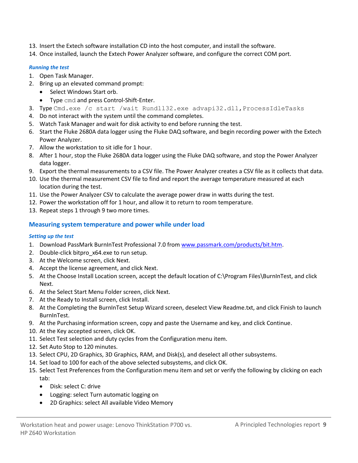- 13. Insert the Extech software installation CD into the host computer, and install the software.
- 14. Once installed, launch the Extech Power Analyzer software, and configure the correct COM port.

#### *Running the test*

- 1. Open Task Manager.
- 2. Bring up an elevated command prompt:
	- Select Windows Start orb.
		- Type cmd and press Control-Shift-Enter.
- 3. Type Cmd.exe /c start /wait Rundll32.exe advapi32.dll, ProcessIdleTasks
- 4. Do not interact with the system until the command completes.
- 5. Watch Task Manager and wait for disk activity to end before running the test.
- 6. Start the Fluke 2680A data logger using the Fluke DAQ software, and begin recording power with the Extech Power Analyzer.
- 7. Allow the workstation to sit idle for 1 hour.
- 8. After 1 hour, stop the Fluke 2680A data logger using the Fluke DAQ software, and stop the Power Analyzer data logger.
- 9. Export the thermal measurements to a CSV file. The Power Analyzer creates a CSV file as it collects that data.
- 10. Use the thermal measurement CSV file to find and report the average temperature measured at each location during the test.
- 11. Use the Power Analyzer CSV to calculate the average power draw in watts during the test.
- 12. Power the workstation off for 1 hour, and allow it to return to room temperature.
- 13. Repeat steps 1 through 9 two more times.

#### **Measuring system temperature and power while under load**

#### *Setting up the test*

- 1. Download PassMark BurnInTest Professional 7.0 from [www.passmark.com/products/bit.htm.](http://www.passmark.com/products/bit.htm)
- 2. Double-click bitpro x64.exe to run setup.
- 3. At the Welcome screen, click Next.
- 4. Accept the license agreement, and click Next.
- 5. At the Choose Install Location screen, accept the default location of C:\Program Files\BurnInTest, and click Next.
- 6. At the Select Start Menu Folder screen, click Next.
- 7. At the Ready to Install screen, click Install.
- 8. At the Completing the BurnInTest Setup Wizard screen, deselect View Readme.txt, and click Finish to launch BurnInTest.
- 9. At the Purchasing information screen, copy and paste the Username and key, and click Continue.
- 10. At the Key accepted screen, click OK.
- 11. Select Test selection and duty cycles from the Configuration menu item.
- 12. Set Auto Stop to 120 minutes.
- 13. Select CPU, 2D Graphics, 3D Graphics, RAM, and Disk(s), and deselect all other subsystems.
- 14. Set load to 100 for each of the above selected subsystems, and click OK.
- 15. Select Test Preferences from the Configuration menu item and set or verify the following by clicking on each tab:
	- Disk: select C: drive
	- Logging: select Turn automatic logging on
	- 2D Graphics: select All available Video Memory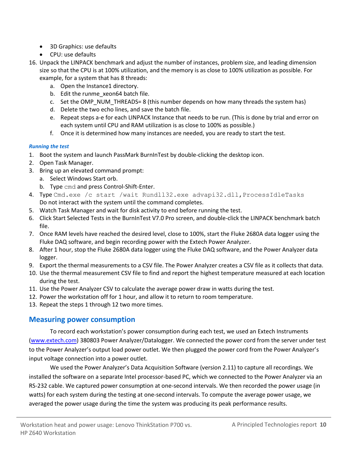- 3D Graphics: use defaults
- CPU: use defaults
- 16. Unpack the LINPACK benchmark and adjust the number of instances, problem size, and leading dimension size so that the CPU is at 100% utilization, and the memory is as close to 100% utilization as possible. For example, for a system that has 8 threads:
	- a. Open the Instance1 directory.
	- b. Edit the runme\_xeon64 batch file.
	- c. Set the OMP\_NUM\_THREADS= 8 (this number depends on how many threads the system has)
	- d. Delete the two echo lines, and save the batch file.
	- e. Repeat steps a-e for each LINPACK Instance that needs to be run. (This is done by trial and error on each system until CPU and RAM utilization is as close to 100% as possible.)
	- f. Once it is determined how many instances are needed, you are ready to start the test.

#### *Running the test*

- 1. Boot the system and launch PassMark BurnInTest by double-clicking the desktop icon.
- 2. Open Task Manager.
- 3. Bring up an elevated command prompt:
	- a. Select Windows Start orb.
	- b. Type cmd and press Control-Shift-Enter.
- 4. Type Cmd.exe /c start /wait Rundll32.exe advapi32.dll, ProcessIdleTasks Do not interact with the system until the command completes.
- 5. Watch Task Manager and wait for disk activity to end before running the test.
- 6. Click Start Selected Tests in the BurnInTest V7.0 Pro screen, and double-click the LINPACK benchmark batch file.
- 7. Once RAM levels have reached the desired level, close to 100%, start the Fluke 2680A data logger using the Fluke DAQ software, and begin recording power with the Extech Power Analyzer.
- 8. After 1 hour, stop the Fluke 2680A data logger using the Fluke DAQ software, and the Power Analyzer data logger.
- 9. Export the thermal measurements to a CSV file. The Power Analyzer creates a CSV file as it collects that data.
- 10. Use the thermal measurement CSV file to find and report the highest temperature measured at each location during the test.
- 11. Use the Power Analyzer CSV to calculate the average power draw in watts during the test.
- 12. Power the workstation off for 1 hour, and allow it to return to room temperature.
- 13. Repeat the steps 1 through 12 two more times.

### **Measuring power consumption**

To record each workstation's power consumption during each test, we used an Extech Instruments [\(www.extech.com\)](http://www.extech.com/) 380803 Power Analyzer/Datalogger. We connected the power cord from the server under test to the Power Analyzer's output load power outlet. We then plugged the power cord from the Power Analyzer's input voltage connection into a power outlet.

We used the Power Analyzer's Data Acquisition Software (version 2.11) to capture all recordings. We installed the software on a separate Intel processor-based PC, which we connected to the Power Analyzer via an RS-232 cable. We captured power consumption at one-second intervals. We then recorded the power usage (in watts) for each system during the testing at one-second intervals. To compute the average power usage, we averaged the power usage during the time the system was producing its peak performance results.